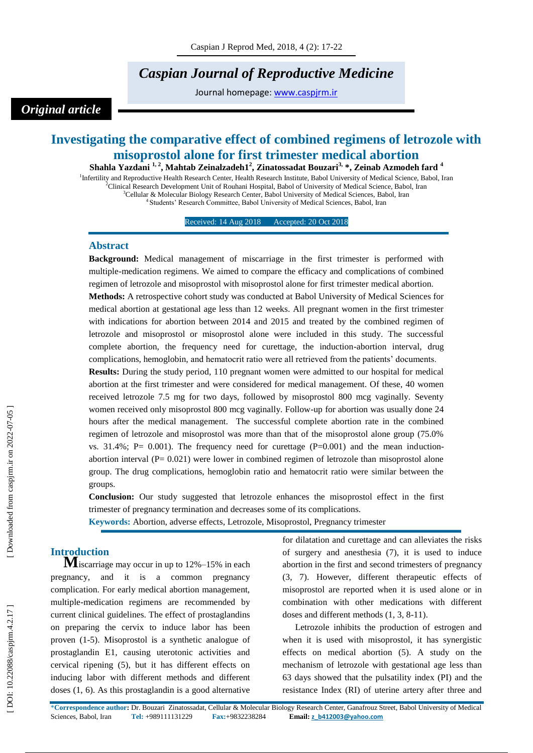# *Caspian Journal of Reproductive Medicine*

Journal homepage: [www.caspjrm.ir](http://www.caspjrm.ir/)

# *Original article*

# **Investigating the comparative effect of combined regimens of letrozole with misoprostol alone for first trimester medical abortion**

**Shahla Yazdani 1 , 2 , Mahtab Zeinalzadeh1 2 , Zinatossadat Bouzari 3 , \*, Zeinab Azmodeh fard 4** <sup>1</sup>Infertility and Reproductive Health Research Center, Health Research Institute, Babol University of Medical Science, Babol, Iran <sup>2</sup>Clinical Research Development Unit of Rouhani Hospital, Babol of University of Medical Science, Babol, Iran <sup>3</sup>Cellular & Molecular Biology Research Center, Babol University of Medical Sciences, Babol, Iran

<sup>4</sup> Students' Research Committee, Babol University of Medical Sciences, Babol, Iran

Received: 14 Aug 2018 Accepted: 20 Oct 2018

### **Abstract**

**Background:** Medical management of miscarriage in the first trimester is performed with multiple -medication regimens. We aimed to compare the efficacy and complications of combined regimen of letrozole and misoprostol with misoprostol alone for first trimester medical abortion. **Methods:** A retrospective cohort study was conducted at Babol University of Medical Sciences for medical abortion at gestational age less than 12 weeks. All pregnant women in the first trimester with indications for abortion between 2014 and 2015 and treated by the combined regimen of letrozole and misoprostol or misoprostol alone were included in this study. The successful complete abortion, the frequency need for curettage, the induction -abortion interval, drug complications, hemoglobin, and hematocrit ratio were all retrieved from the patients' documents. **Results:** During the study period, 110 pregnant women were admitted to our hospital for medical

abortion at the first trimester and were considered for medical management. Of these, 40 women received letrozole 7.5 mg for two days, followed by misoprostol 800 mcg vaginally. Seventy women received only misoprostol 800 mcg vaginally. Follow -up for abortion was usually done 24 hours after the medical management. The successful complete abortion rate in the combined regimen of letrozole and misoprostol was more than that of the misoprostol alone group (75.0% vs.  $31.4\%$ ; P= 0.001). The frequency need for curettage (P=0.001) and the mean inductionabortion interval  $(P= 0.021)$  were lower in combined regimen of letrozole than misoprostol alone group. The drug complications, hemoglobin ratio and hematocrit ratio were similar between the groups.

**Conclusion:** Our study suggested that letrozole enhances the misoprostol effect in the first trimester of pregnancy termination and decreases some of its complications.

**Keywords:** Abortion, adverse effects, Letrozole, Misoprostol, Pregnancy trimester

**Introduction**<br> **M**iscarriage may occur in up to 12%–15% in each pregnancy, and it is a common pregnancy complication. For early medical abortion management, multiple -medication regimens are recommended by current clinical guidelines. The effect of prostaglandins on preparing the cervix to induce labor has been proven (1 -5). Misoprostol is a synthetic analogue of prostaglandin E1, causing uterotonic activities and cervical ripening (5), but it has different effects on inducing labor with different methods and different doses (1, 6). As this prostaglandin is a good alternative

for dilatation and curettage and can alleviates the risks of surgery and anesthesia (7), it is used to induce abortion in the first and second trimesters of pregnancy (3, 7). However, different therapeutic effects of misoprostol are reported when it is used alone or in combination with other medications with different doses and different methods (1, 3, 8 -11).

Letrozole inhibits the production of estrogen and when it is used with misoprostol, it has synergistic effects on medical abortion (5). A study on the mechanism of letrozole with gestational age less than 63 days showed that the pulsatility index (PI) and the resistance Index (RI) of uterine artery after three and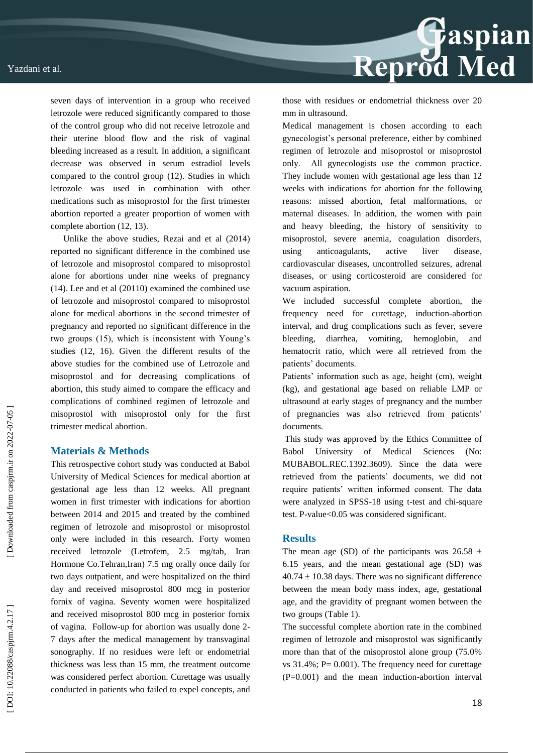

Unlike the above studies, Rezai and et al (2014) reported no significant difference in the combined use of letrozole and misoprostol compared to misoprostol alone for abortions under nine weeks of pregnancy (14). Lee and et al (20110) examined the combined use of letrozole and misoprostol compared to misoprostol alone for medical abortions in the second trimester of pregnancy and reported no significant difference in the two groups (15), which is inconsistent with Young's studies (12, 16). Given the different results of the above studies for the combined use of Letrozole and misoprostol and for decreasing complications of abortion, this study aimed to compare the efficacy and complications of combined regimen of letrozole and misoprostol with misoprostol only for the first trimester medical abortion.

## **Materials & Methods**

This retrospective cohort study was conducted at Babol University of Medical Sciences for medical abortion at gestational age less than 12 weeks. All pregnant women in first trimester with indications for abortion between 2014 and 2015 and treated by the combined regimen of letrozole and misoprostol or misoprostol only were included in this research. Forty women received letrozole (Letrofem, 2.5 mg/tab, Iran Hormone Co.Tehran,Iran) 7.5 mg orally once daily for two days outpatient, and were hospitalized on the third day and received misoprostol 800 mcg in posterior fornix of vagina. Seventy women were hospitalized and received misoprostol 800 mcg in posterior fornix of vagina. Follow -up for abortion was usually done 2 - 7 days after the medical management by transvaginal sonography. If no residues were left or endometrial thickness was less than 15 mm, the treatment outcome was considered perfect abortion. Curettage was usually conducted in patients who failed to expel concepts, and



those with residues or endometrial thickness over 20 mm in ultrasound.

Medical management is chosen according to each gynecologist's personal preference, either by combined regimen of letrozole and misoprostol or misoprostol only. All gynecologists use the common practice. They include women with gestational age less than 12 weeks with indications for abortion for the following reasons: missed abortion, fetal malformations, or maternal diseases. In addition, the women with pain and heavy bleeding, the history of sensitivity to misoprostol, severe anemia, coagulation disorders, using anticoagulants, active liver disease, cardiovascular diseases, uncontrolled seizures, adrenal diseases, or using corticosteroid are considered for vacuum aspiration.

We included successful complete abortion, the frequency need for curettage, induction -abortion interval, and drug complications such as fever, severe bleeding, diarrhea, vomiting, hemoglobin, and hematocrit ratio, which were all retrieved from the patients' documents.

Patients' information such as age, height (cm), weight (kg), and gestational age based on reliable LMP or ultrasound at early stages of pregnancy and the number of pregnancies was also retrieved from patients' documents.

This study was approved by the Ethics Committee of Babol University of Medical Sciences (No: MUBABOL.REC.1392.3609). Since the data were retrieved from the patients' documents, we did not require patients' written informed consent. The data were analyzed in SPSS -18 using t -test and chi -square test. P -value<0.05 was considered significant.

#### **Results**

The mean age (SD) of the participants was  $26.58 \pm$ 6.15 years, and the mean gestational age (SD) was  $40.74 \pm 10.38$  days. There was no significant difference between the mean body mass index, age, gestational age, and the gravidity of pregnant women between the two groups (Table 1).

The successful complete abortion rate in the combined regimen of letrozole and misoprostol was significantly more than that of the misoprostol alone group (75.0% vs  $31.4\%$ : P= 0.001). The frequency need for curettage (P=0.001) and the mean induction -abortion interval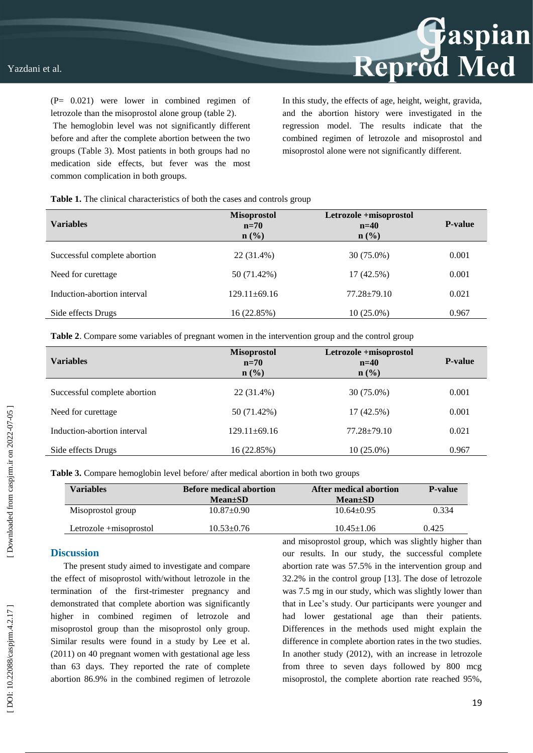(P= 0.021) were lower in combined regimen of letrozole than the misoprostol alone group (table 2).

The hemoglobin level was not significantly different before and after the complete abortion between the two groups (Table 3). Most patients in both groups had no medication side effects, but fever was the most common complication in both groups.

In this study, the effects of age, height, weight, gravida, and the abortion history were investigated in the regression model. The results indicate that the combined regimen of letrozole and misoprostol and misoprostol alone were not significantly different.

Reprod Med

**Table 1.** The clinical characteristics of both the cases and controls group

| <b>Variables</b>             | <b>Misoprostol</b><br>$n=70$<br>$n\left(\frac{0}{0}\right)$ | Letrozole +misoprostol<br>$n=40$<br>$n$ (%) | <b>P-value</b> |
|------------------------------|-------------------------------------------------------------|---------------------------------------------|----------------|
| Successful complete abortion | 22 (31.4%)                                                  | 30 (75.0%)                                  | 0.001          |
| Need for curettage           | 50 (71.42%)                                                 | $17(42.5\%)$                                | 0.001          |
| Induction-abortion interval  | 129.11±69.16                                                | $77.28 \pm 79.10$                           | 0.021          |
| Side effects Drugs           | 16 (22.85%)                                                 | $10(25.0\%)$                                | 0.967          |

**Table 2**. Compare some variables of pregnant women in the intervention group and the control group

| Variables                    | <b>Misoprostol</b><br>$n=70$<br>$n$ (%) | Letrozole +misoprostol<br>$n=40$<br>$n\left(\frac{9}{6}\right)$ | <b>P-value</b> |
|------------------------------|-----------------------------------------|-----------------------------------------------------------------|----------------|
| Successful complete abortion | 22 (31.4%)                              | 30 (75.0%)                                                      | 0.001          |
| Need for curettage           | 50 (71.42%)                             | 17 (42.5%)                                                      | 0.001          |
| Induction-abortion interval  | $129.11 \pm 69.16$                      | $77.28 \pm 79.10$                                               | 0.021          |
| Side effects Drugs           | 16 (22.85%)                             | $10(25.0\%)$                                                    | 0.967          |

**Table 3.** Compare hemoglobin level before/ after medical abortion in both two groups

| <b>Variables</b>        | <b>Before medical abortion</b><br>$Mean \pm SD$ | After medical abortion<br>$Mean \pm SD$ | <b>P-value</b> |
|-------------------------|-------------------------------------------------|-----------------------------------------|----------------|
| Misoprostol group       | $10.87 \pm 0.90$                                | $10.64 \pm 0.95$                        | 0.334          |
| Letrozole + misoprostol | $10.53 \pm 0.76$                                | $10.45 \pm 1.06$                        | 0.425          |

#### **Discussion**

The present study aimed to investigate and compare the effect of misoprostol with/without letrozole in the termination of the first -trimester pregnancy and demonstrated that complete abortion was significantly higher in combined regimen of letrozole and misoprostol group than the misoprostol only group. Similar results were found in a study by Lee et al. (2011) on 40 pregnant women with gestational age less than 63 days. They reported the rate of complete abortion 86.9% in the combined regimen of letrozole

and misoprostol group, which was slightly higher than our results. In our study, the successful complete abortion rate was 57.5% in the intervention group and 32.2% in the control group [13]. The dose of letrozole was 7.5 mg in our study, which was slightly lower than that in Lee's study. Our participants were younger and had lower gestational age than their patients. Differences in the methods used might explain the difference in complete abortion rates in the two studies. In another study (2012), with an increase in letrozole from three to seven days followed by 800 mcg misoprostol, the complete abortion rate reached 95%,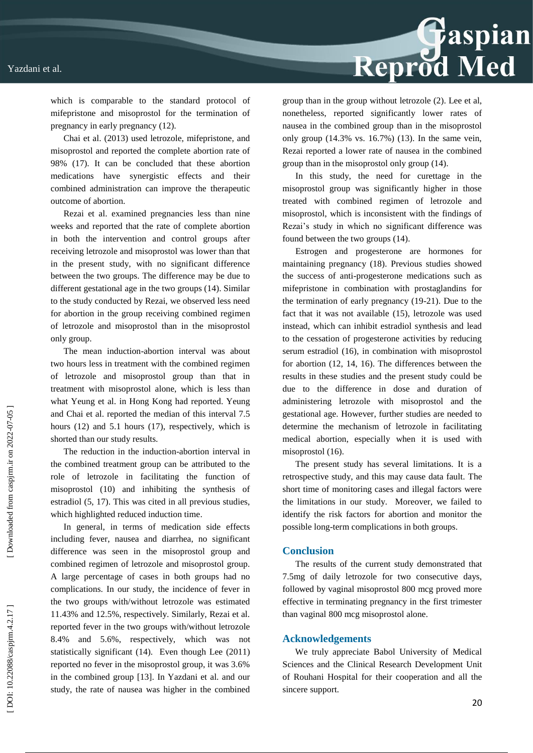#### Yazdani et al.



which is comparable to the standard protocol of mifepristone and misoprostol for the termination of pregnancy in early pregnancy (12).

Chai et al. (2013) used letrozole, mifepristone, and misoprostol and reported the complete abortion rate of 98% (17). It can be concluded that these abortion medications have synergistic effects and their combined administration can improve the therapeutic outcome of abortion.

Rezai et al. examined pregnancies less than nine weeks and reported that the rate of complete abortion in both the intervention and control groups after receiving letrozole and misoprostol was lower than that in the present study, with no significant difference between the two groups. The difference may be due to different gestational age in the two groups (14). Similar to the study conducted by Rezai, we observed less need for abortion in the group receiving combined regimen of letrozole and misoprostol than in the misoprostol only group.

The mean induction -abortion interval was about two hours less in treatment with the combined regimen of letrozole and misoprostol group than that in treatment with misoprostol alone, which is less than what Yeung et al. in Hong Kong had reported. Yeung and Chai et al. reported the median of this interval 7.5 hours (12) and 5.1 hours (17), respectively, which is shorted than our study results.

The reduction in the induction -abortion interval in the combined treatment group can be attributed to the role of letrozole in facilitating the function of misoprostol (10) and inhibiting the synthesis of estradiol (5, 17). This was cited in all previous studies, which highlighted reduced induction time .

In general, in terms of medication side effects including fever, nausea and diarrhea, no significant difference was seen in the misoprostol group and combined regimen of letrozole and misoprostol group. A large percentage of cases in both groups had no complications. In our study, the incidence of fever in the two groups with/without letrozole was estimated 11.43% and 12.5%, respectively. Similarly, Rezai et al. reported fever in the two groups with/without letrozole 8.4% and 5.6%, respectively, which was not statistically significant (14). Even though Lee (2011) reported no fever in the misoprostol group, it was 3.6% in the combined group [13]. In Yazdani et al. and our study, the rate of nausea was higher in the combined group than in the group without letrozole (2). Lee et al, nonetheless, reported significantly lower rates of nausea in the combined group than in the misoprostol only group (14.3% vs. 16.7%) (13). In the same vein, Rezai reported a lower rate of nausea in the combined group than in the misoprostol only group (14).

In this study, the need for curettage in the misoprostol group was significantly higher in those treated with combined regimen of letrozole and misoprostol, which is inconsistent with the findings of Rezai's study in which no significant difference was found between the two groups (14).

Estrogen and progesterone are hormones for maintaining pregnancy (18). Previous studies showed the success of anti -progesterone medications such as mifepristone in combination with prostaglandins for the termination of early pregnancy (19 -21). Due to the fact that it was not available (15), letrozole was used instead, which can inhibit estradiol synthesis and lead to the cessation of progesterone activities by reducing serum estradiol (16), in combination with misoprostol for abortion (12, 14, 16). The differences between the results in these studies and the present study could be due to the difference in dose and duration of administering letrozole with misoprostol and the gestational age. However, further studies are needed to determine the mechanism of letrozole in facilitating medical abortion, especially when it is used with misoprostol (16).

The present study has several limitations. It is a retrospective study, and this may cause data fault. The short time of monitoring cases and illegal factors were the limitations in our study. Moreover, we failed to identify the risk factors for abortion and monitor the possible long -term complications in both groups.

#### **Conclusion**

The results of the current study demonstrated that 7.5mg of daily letrozole for two consecutive days, followed by vaginal misoprostol 800 mcg proved more effective in terminating pregnancy in the first trimester than vaginal 800 mcg misoprostol alone.

#### **Acknowledgements**

We truly appreciate Babol University of Medical Sciences and the Clinical Research Development Unit of Rouhani Hospital for their cooperation and all the sincere support.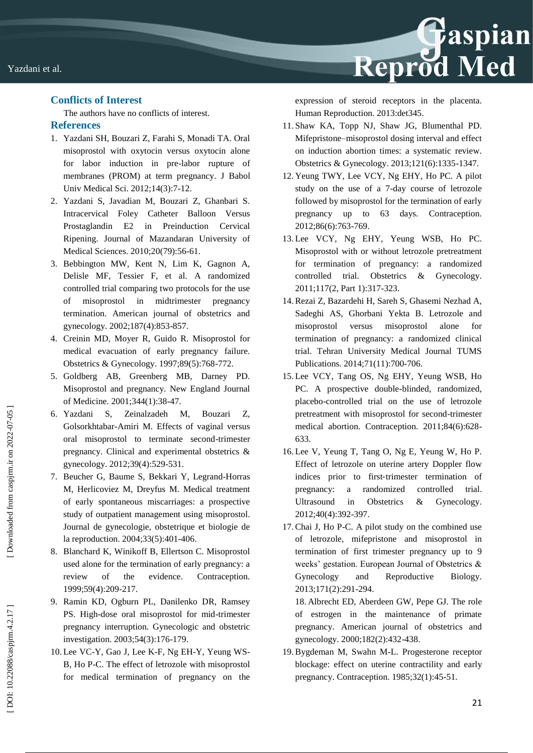## **Conflicts of Interest**

The authors have no conflicts of interest.

## **References**

- 1. Yazdani SH, Bouzari Z, Farahi S, Monadi TA. Oral misoprostol with oxytocin versus oxytocin alone for labor induction in pre -labor rupture of membranes (PROM) at term pregnancy. J Babol Univ Medical Sci. 2012;14(3):7 -12.
- 2. Yazdani S, Javadian M, Bouzari Z, Ghanbari S. Intracervical Foley Catheter Balloon Versus Prostaglandin E2 in Preinduction Cervical Ripening. Journal of Mazandaran University of Medical Sciences. 2010;20(79):56 -61.
- 3. Bebbington MW, Kent N, Lim K, Gagnon A, Delisle MF, Tessier F, et al. A randomized controlled trial comparing two protocols for the use of misoprostol in midtrimester pregnancy termination. American journal of obstetrics and gynecology. 2002;187(4):853 -857.
- 4. Creinin MD, Moyer R, Guido R. Misoprostol for medical evacuation of early pregnancy failure. Obstetrics & Gynecology. 1997;89(5):768 - 772.
- 5. Goldberg AB, Greenberg MB, Darney PD. Misoprostol and pregnancy. New England Journal of Medicine. 2001;344(1):38 -47.
- 6. Yazdani S, Zeinalzadeh M, Bouzari Z, Golsorkhtabar -Amiri M. Effects of vaginal versus oral misoprostol to terminate second -trimester pregnancy. Clinical and experimental obstetrics & gynecology. 2012;39(4):529 - 531.
- 7. Beucher G, Baume S, Bekkari Y, Legrand -Horras M, Herlicoviez M, Dreyfus M. Medical treatment of early spontaneous miscarriages: a prospective study of outpatient management using misoprostol. Journal de gynecologie, obstetrique et biologie de la reproduction. 2004;33(5):401 -406.
- 8. Blanchard K, Winikoff B, Ellertson C. Misoprostol used alone for the termination of early pregnancy: a review of the evidence. Contraception. 1999;59(4):209 - 217.
- 9. Ramin KD, Ogburn PL, Danilenko DR, Ramsey PS. High -dose oral misoprostol for mid -trimester pregnancy interruption. Gynecologic and obstetric investigation. 2003;54(3):176 -179.
- 10. Lee VC-Y, Gao J, Lee K-F, Ng EH-Y, Yeung WS-B, Ho P -C. The effect of letrozole with misoprostol for medical termination of pregnancy on the

expression of steroid receptors in the placenta. Human Reproduction. 2013:det345.

Reprod Med

- 11. Shaw KA, Topp NJ, Shaw JG, Blumenthal PD. Mifepristone –misoprostol dosing interval and effect on induction abortion times: a systematic review. Obstetrics & Gynecology. 2013;121(6):1335 -1347.
- 12. Yeung TWY, Lee VCY, Ng EHY, Ho PC. A pilot study on the use of a 7 -day course of letrozole followed by misoprostol for the termination of early pregnancy up to 63 days. Contraception. 2012;86(6):763 -769.
- 13. Lee VCY, Ng EHY, Yeung WSB, Ho PC. Misoprostol with or without letrozole pretreatment for termination of pregnancy: a randomized controlled trial. Obstetrics & Gynecology. 2011;117(2, Part 1):317 - 323.
- 14.Rezai Z, Bazardehi H, Sareh S, Ghasemi Nezhad A, Sadeghi AS, Ghorbani Yekta B. Letrozole and misoprostol versus misoprostol alone for termination of pregnancy: a randomized clinical trial. Tehran University Medical Journal TUMS Publications. 2014;71(11):700 -706.
- 15. Lee VCY, Tang OS, Ng EHY, Yeung WSB, Ho PC. A prospective double -blinded, randomized, placebo -controlled trial on the use of letrozole pretreatment with misoprostol for second -trimester medical abortion. Contraception. 2011;84(6):628 - 633.
- 16. Lee V, Yeung T, Tang O, Ng E, Yeung W, Ho P. Effect of letrozole on uterine artery Doppler flow indices prior to first-trimester termination of pregnancy: a randomized controlled trial. Ultrasound in Obstetrics & Gynecology. 2012;40(4):392 -397.
- 17.Chai J, Ho P -C. A pilot study on the combined use of letrozole, mifepristone and misoprostol in termination of first trimester pregnancy up to 9 weeks' gestation. European Journal of Obstetrics & Gynecology and Reproductive Biology. 2013;171(2):291 -294.

18. Albrecht ED, Aberdeen GW, Pepe GJ. The role of estrogen in the maintenance of primate pregnancy. American journal of obstetrics and gynecology. 2000;182(2):432 -438.

19.Bygdeman M, Swahn M -L. Progesterone receptor blockage: effect on uterine contractility and early pregnancy. Contraception. 1985;32(1):45 -51.